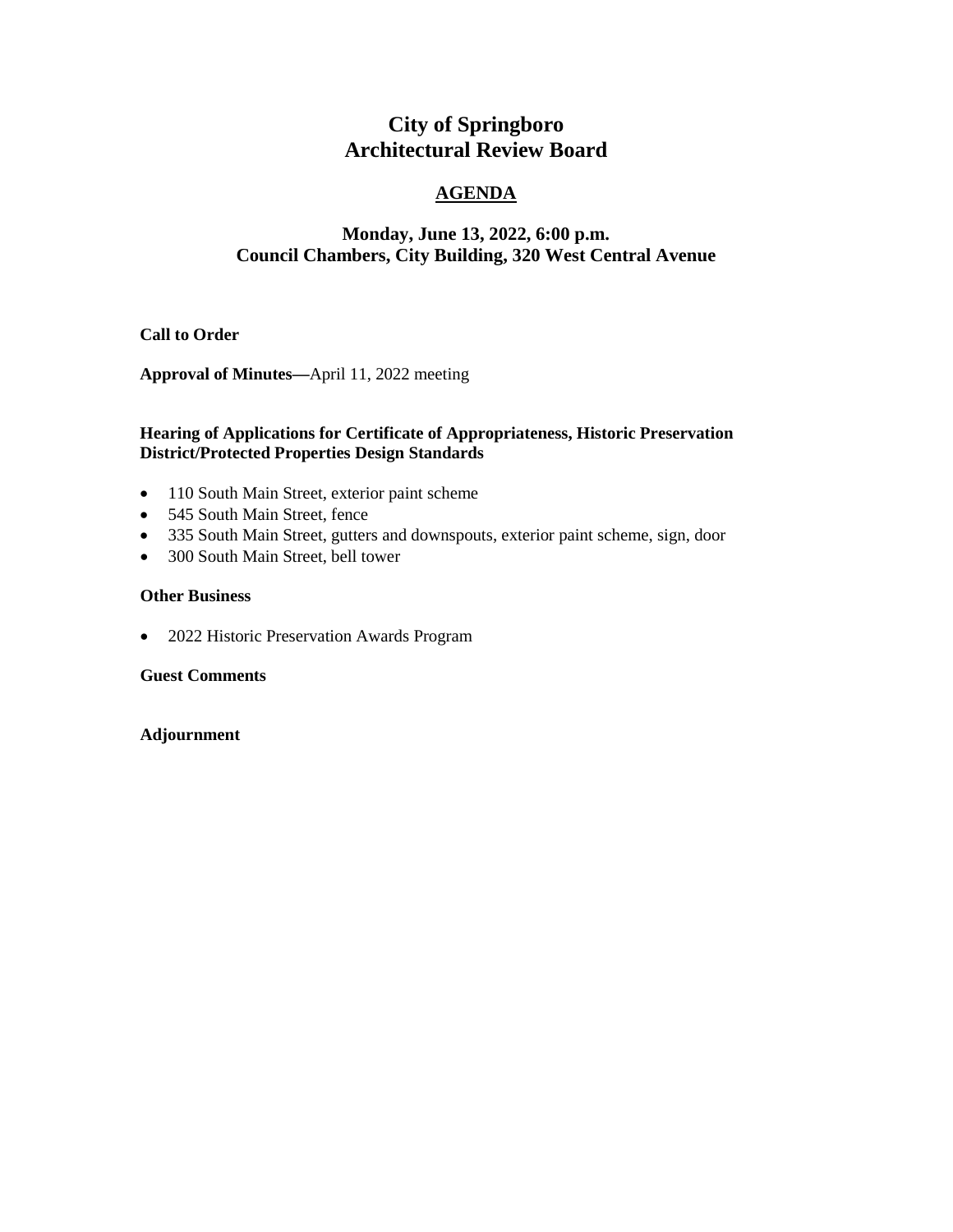# **City of Springboro Architectural Review Board**

## **AGENDA**

## **Monday, June 13, 2022, 6:00 p.m. Council Chambers, City Building, 320 West Central Avenue**

### **Call to Order**

**Approval of Minutes—**April 11, 2022 meeting

### **Hearing of Applications for Certificate of Appropriateness, Historic Preservation District/Protected Properties Design Standards**

- 110 South Main Street, exterior paint scheme
- 545 South Main Street, fence
- 335 South Main Street, gutters and downspouts, exterior paint scheme, sign, door
- 300 South Main Street, bell tower

#### **Other Business**

• 2022 Historic Preservation Awards Program

**Guest Comments**

#### **Adjournment**